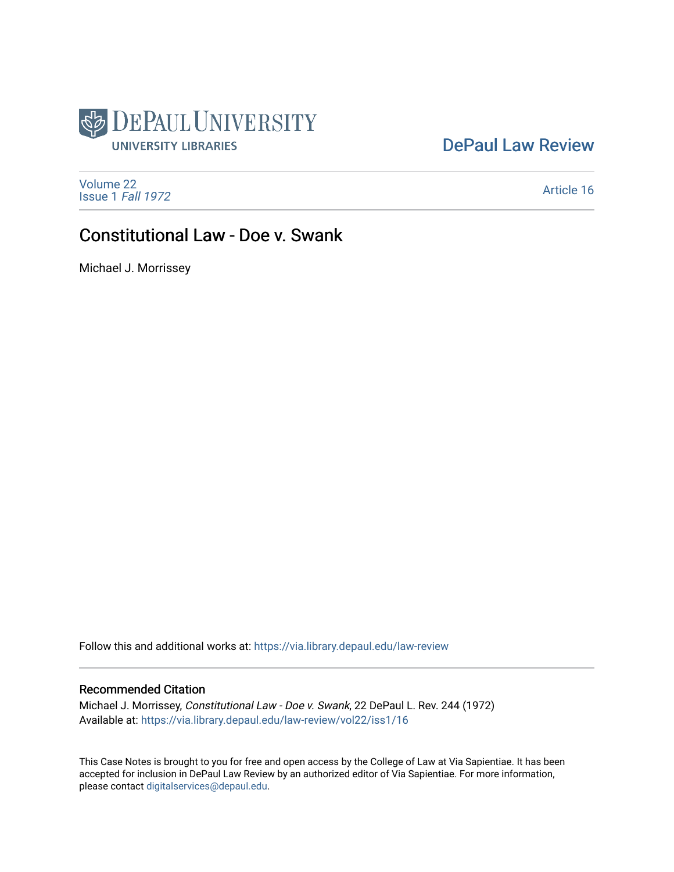

## [DePaul Law Review](https://via.library.depaul.edu/law-review)

[Volume 22](https://via.library.depaul.edu/law-review/vol22) [Issue 1](https://via.library.depaul.edu/law-review/vol22/iss1) Fall 1972

[Article 16](https://via.library.depaul.edu/law-review/vol22/iss1/16) 

# Constitutional Law - Doe v. Swank

Michael J. Morrissey

Follow this and additional works at: [https://via.library.depaul.edu/law-review](https://via.library.depaul.edu/law-review?utm_source=via.library.depaul.edu%2Flaw-review%2Fvol22%2Fiss1%2F16&utm_medium=PDF&utm_campaign=PDFCoverPages) 

### Recommended Citation

Michael J. Morrissey, Constitutional Law - Doe v. Swank, 22 DePaul L. Rev. 244 (1972) Available at: [https://via.library.depaul.edu/law-review/vol22/iss1/16](https://via.library.depaul.edu/law-review/vol22/iss1/16?utm_source=via.library.depaul.edu%2Flaw-review%2Fvol22%2Fiss1%2F16&utm_medium=PDF&utm_campaign=PDFCoverPages)

This Case Notes is brought to you for free and open access by the College of Law at Via Sapientiae. It has been accepted for inclusion in DePaul Law Review by an authorized editor of Via Sapientiae. For more information, please contact [digitalservices@depaul.edu.](mailto:digitalservices@depaul.edu)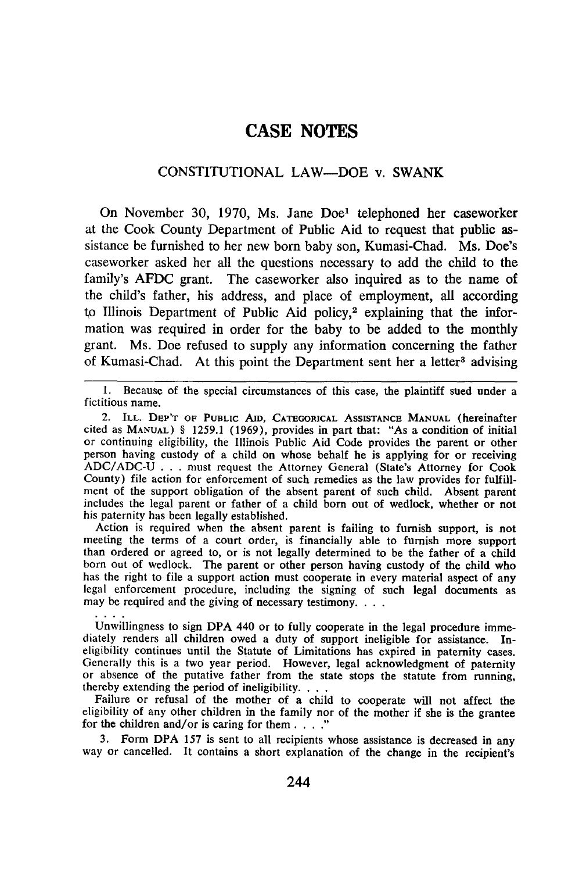## **CASE NOTES**

### CONSTITUTIONAL LAW-DOE v. SWANK

On November 30, 1970, Ms. Jane Doe1 telephoned her caseworker at the Cook County Department of Public Aid to request that public assistance be furnished to her new born baby son, Kumasi-Chad. Ms. Doe's caseworker asked her all the questions necessary to add the child to the family's AFDC grant. The caseworker also inquired as to the name of the child's father, his address, and place of employment, all according to Illinois Department of Public Aid policy,<sup>2</sup> explaining that the information was required in order for the baby to be added to the monthly grant. Ms. Doe refused to supply any information concerning the father of Kumasi-Chad. At this point the Department sent her a letter<sup>3</sup> advising

1. Because of the special circumstances of this case, the plaintiff sued under a fictitious name.

2. ILL. DEP'T **OF** PUBLIC **AID, CATEGORICAL ASSISTANCE MANUAL** (hereinafter cited as **MANUAL)** § **1259.1 (1969),** provides in part that: "As a condition of initial or continuing eligibility, the Illinois Public Aid Code provides the parent or other ADC/ADC-U . . . must request the Attorney General (State's Attorney for Cook County) file action for enforcement of such remedies as the law provides for fulfillment of the support obligation of the absent parent of such child. Absent parent includes the legal parent or father of a child born out of wedlock, whether or not his paternity has been legally established.

Action is required when the absent parent is failing to furnish support, is not meeting the terms of a court order, is financially able to furnish more support than ordered or agreed to, or is not legally determined to be the father of a child than ordered or agreed to, or is not legally determined to be the father of a child born out of wedlock. The parent or other person having custody of the child who has the right to file a support action must cooperate in every material aspect of any legal enforcement procedure, including the signing of such legal documents as may be required and the giving of necessary testimony....

Unwillingness to sign **DPA** 440 or to fully cooperate in the legal procedure immediately renders all children owed a duty of support ineligible for assistance. Ineligibility continues until the Statute of Limitations has expired in paternity cases.<br>Generally this is a two year period. However, legal acknowledgment of paternity<br>or absence of the putative father from the state stops thereby extending the period of ineligibility. . **..**

Failure or refusal of the mother of a child to cooperate will not affect the eligibility of any other children in the family nor of the mother if she is the grantee for the children and/or is caring for them **.... "**

**3.** Form **DPA 157** is sent to all recipients whose assistance is decreased in any way or cancelled. It contains a short explanation of the change in the recipient's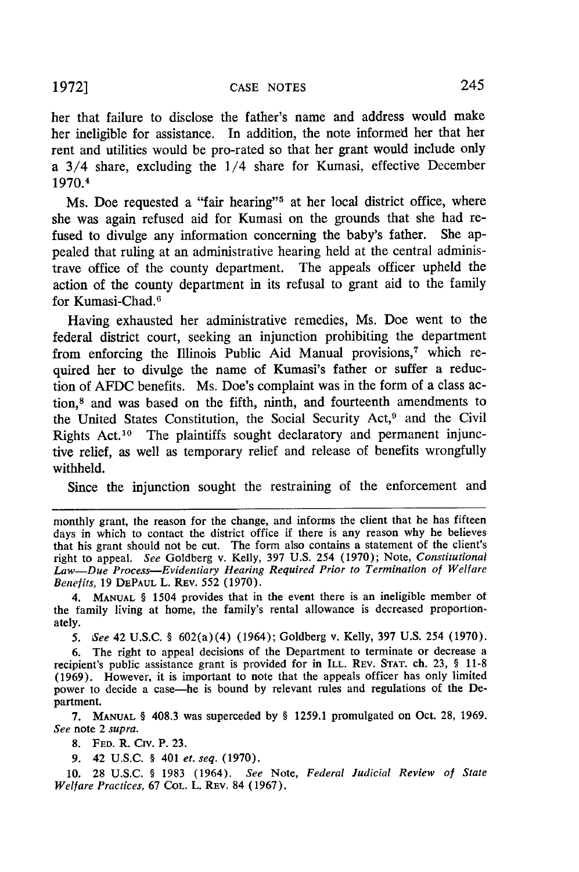her that failure to disclose the father's name and address would make her ineligible for assistance. In addition, the note informed her that her rent and utilities would be pro-rated so that her grant would include only a 3/4 share, excluding the 1/4 share for Kumasi, effective December 1970.4

Ms. Doe requested a "fair hearing"<sup>5</sup> at her local district office, where she was again refused aid for Kumasi on the grounds that she had refused to divulge any information concerning the baby's father. She appealed that ruling at an administrative hearing held at the central administrave office of the county department. The appeals officer upheld the action of the county department in its refusal to grant aid to the family for Kumasi-Chad. <sup>6</sup>

Having exhausted her administrative remedies, Ms. Doe went to the federal district court, seeking an injunction prohibiting the department from enforcing the Illinois Public Aid Manual provisions,<sup>7</sup> which required her to divulge the name of Kumasi's father or suffer a reduction of AFDC benefits. Ms. Doe's complaint was in the form of a class action,8 and was based on the fifth, ninth, and fourteenth amendments to the United States Constitution, the Social Security Act,<sup>9</sup> and the Civil Rights Act.<sup>10</sup> The plaintiffs sought declaratory and permanent injunctive relief, as well as temporary relief and release of benefits wrongfully withheld.

Since the injunction sought the restraining of the enforcement and

monthly grant, the reason for the change, and informs the client that he has fifteen days in which to contact the district office if there is any reason why he believes that his grant should not be cut. The form also contains a statement of the client's right to appeal. *See* Goldberg v. Kelly, 397 U.S. 254 (1970); Note, *Constitutional Law-Due Process-Evidentiary Hearing Required Prior to Termination of Welfare Benefits,* 19 **DEPAUL** L. REV. 552 (1970).

4. **MANUAL** § 1504 provides that in the event there is an ineligible member ot the family living at home, the family's rental allowance is decreased proportionately.

*5. See* 42 U.S.C. § 602(a)(4) (1964); Goldberg v. Kelly, 397 U.S. 254 (1970).

6. The right to appeal decisions of the Department to terminate or decrease a recipient's public assistance grant is provided for in ILL. REV. **STAT.** ch. 23, § 11-8 (1969). However, it is important to note that the appeals officer has only limited power to decide a case-he is bound by relevant rules and regulations of the Department.

7. **MANUAL** § 408.3 was superceded by § 1259.1 promulgated on Oct. 28, 1969. *See* note 2 *supra.*

8. **FED.** R. Civ. P. 23.

9. 42 U.S.C. § 401 *et. seq.* (1970).

10. 28 U.S.C. § 1983 (1964). *See* Note, *Federal Judicial Review of State Welfare Practices,* 67 **COL.** L. REV. 84 (1967).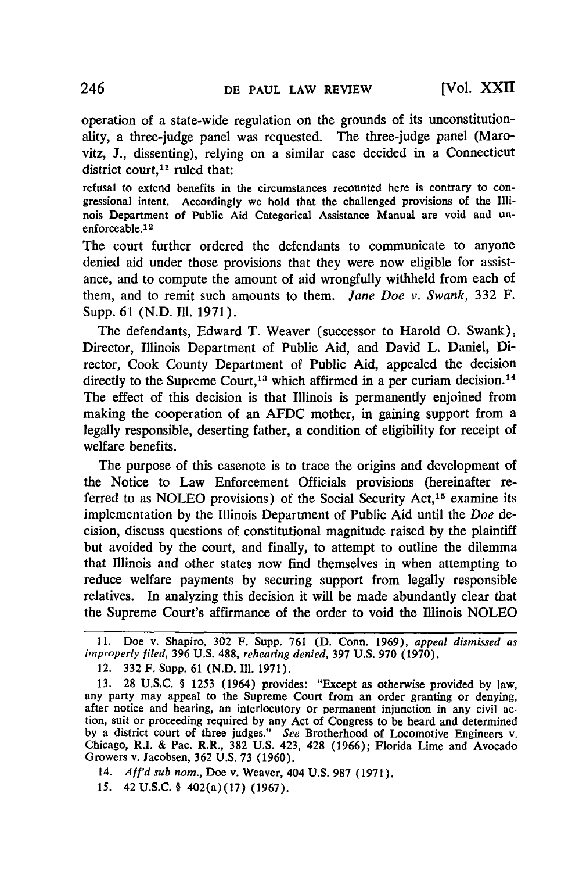operation of a state-wide regulation on the grounds of its unconstitutionality, a three-judge panel was requested. The three-judge panel (Marovitz, J., dissenting), relying on a similar case decided in a Connecticut district court. $11$  ruled that:

refusal to extend benefits in the circumstances recounted here is contrary to congressional intent. Accordingly we hold that the challenged provisions of the Illinois Department of Public Aid Categorical Assistance Manual are void and unenforceable. <sup>12</sup>

The court further ordered the defendants to communicate to anyone denied aid under those provisions that they were now eligible for assistance, and to compute the amount of aid wrongfully withheld from each of them, and to remit such amounts to them. *Jane Doe v. Swank,* 332 F. Supp. 61 (N.D. Ill. 1971).

The defendants, Edward T. Weaver (successor to Harold **0.** Swank), Director, Illinois Department of Public Aid, and David L. Daniel, Director, Cook County Department of Public Aid, appealed the decision directly to the Supreme Court,<sup>13</sup> which affirmed in a per curiam decision.<sup>14</sup> The effect of this decision is that Illinois is permanently enjoined from making the cooperation of an AFDC mother, in gaining support from a legally responsible, deserting father, a condition of eligibility for receipt of welfare benefits.

The purpose of this casenote is to trace the origins and development of the Notice to Law Enforcement Officials provisions (hereinafter referred to as NOLEO provisions) of the Social Security Act,<sup>15</sup> examine its implementation by the Illinois Department of Public Aid until the *Doe* decision, discuss questions of constitutional magnitude raised by the plaintiff but avoided by the court, and finally, to attempt to outline the dilemma that Illinois and other states now find themselves in when attempting to reduce welfare payments by securing support from legally responsible relatives. In analyzing this decision it will be made abundantly clear that the Supreme Court's affirmance of the order to void the Illinois NOLEO

15. 42 U.S.C. § 402(a)(17) (1967).

<sup>11.</sup> Doe v. Shapiro, 302 F. Supp. 761 **(D.** Conn. **1969),** appeal dismissed as *improperly* filed, 396 U.S. 488, rehearing denied, 397 U.S. 970 (1970).

<sup>12. 332</sup> F. Supp. 61 (N.D. **I11.** 1971).

<sup>13.</sup> **28** U.S.C. § 1253 (1964) provides: "Except as otherwise provided **by** law, after notice and hearing, an interlocutory or permanent injunction in any civil acby a district court of three judges." See Brotherhood of Locomotive Engineers v. Chicago, R.I. & Pac. R.R., 382 U.S. 423, 428 (1966); Florida Lime and Avocado Growers v. Jacobsen, 362 U.S. 73 (1960).

<sup>14.</sup> *Aff'd sub nom.,* Doe v. Weaver, 404 U.S. 987 (1971).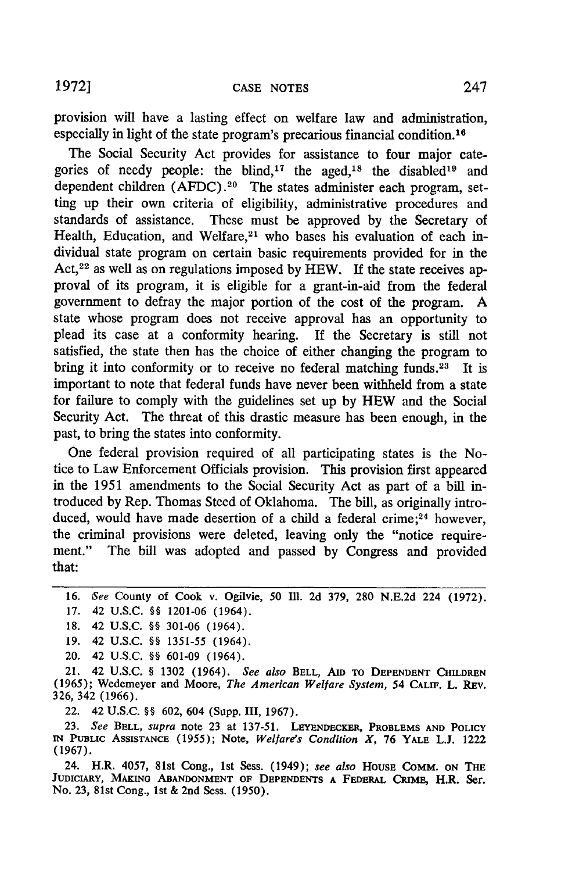provision will have a lasting effect on welfare law and administration, especially in light of the state program's precarious financial condition.<sup>16</sup>

The Social Security Act provides for assistance to four major categories of needy people: the blind,<sup>17</sup> the aged,<sup>18</sup> the disabled<sup>19</sup> and dependent children (AFDC) **.20** The states administer each program, setting up their own criteria of eligibility, administrative procedures and standards of assistance. These must be approved by the Secretary of Health, Education, and Welfare,<sup>21</sup> who bases his evaluation of each individual state program on certain basic requirements provided for in the Act, 22 as well as on regulations imposed by HEW. **If** the state receives approval of its program, it is eligible for a grant-in-aid from the federal government to defray the major portion of the cost of the program. A state whose program does not receive approval has an opportunity to plead its case at a conformity hearing. If the Secretary is still not satisfied, the state then has the choice of either changing the program to bring it into conformity or to receive no federal matching funds. 23 It **is** important to note that federal funds have never been withheld from a state for failure to comply with the guidelines set up by HEW and the Social Security Act. The threat of this drastic measure has been enough, in the past, to bring the states into conformity.

One federal provision required of all participating states is the Notice to Law Enforcement Officials provision. This provision first appeared in the 1951 amendments to the Social Security Act as part of a bill introduced by Rep. Thomas Steed of Oklahoma. The bill, as originally introduced, would have made desertion of a child a federal crime;<sup>24</sup> however, the criminal provisions were deleted, leaving only the "notice requirement." The bill was adopted and passed by Congress and provided that:

16. *See* County of Cook v. Ogilvie, **50** Il1. **2d** 379, **280** N.E.2d 224 (1972). 17. 42 U.S.C. §§ 1201-06 (1964).

19. 42 U.S.C. §§ 1351-55 (1964).

20. 42 U.S.C. §§ 601-09 (1964).

21. 42 U.S.C. § **1302** (1964). *See also* **BELL, AID** TO **DEPENDENT CHILDREN (1965);** Wedemeyer and Moore, *The American Welfare System,* 54 **CALIF.** L. REv. **326,** 342 **(1966).**

22. 42 **U.S.C.** §§ **602,** 604 (Supp. **III, 1967).**

**23.** *See BELL, supra* note **23** at **137-51. LEYENDECKER, PROBLEMS AND POLICY IN** PUBLIC **ASSISTANCE (1955);** Note, *Welfare's Condition X,* **76** YALE L.J. 1222 (1967).

24. H.R. 4057, 81st Cong., 1st Sess. (1949); *see also* HOUSE **COMM. ON THE JUDICIARY, MAKING ABANDONMENT OF DEPENDENTS A FEDERAL** CRIME, H.R. Ser. No. **23,** 81st Cong., 1st & 2nd Sess. **(1950).**

<sup>18. 42</sup> U.S.C. §§ 301-06 (1964).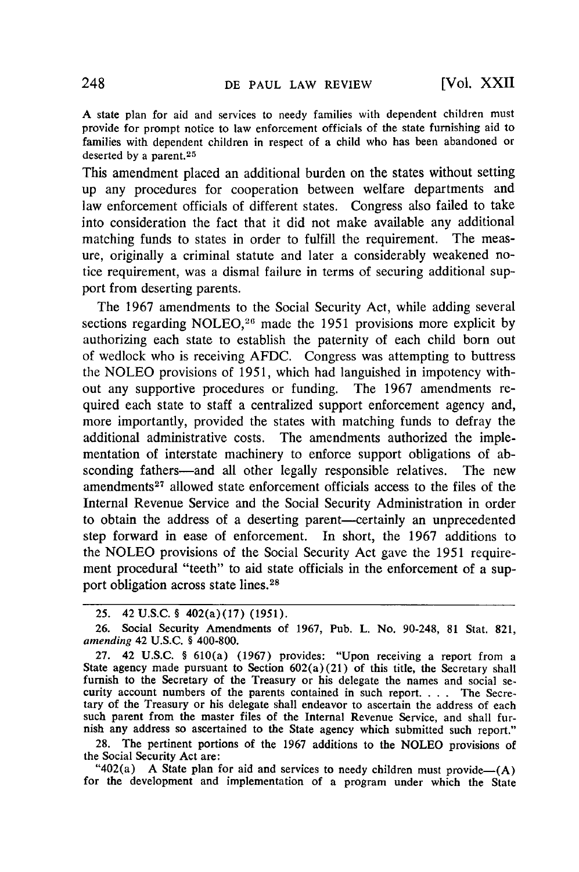A state plan for aid and services to needy families with dependent children must provide for prompt notice to law enforcement officials of the state furnishing aid to families with dependent children in respect of a child who has been abandoned or deserted by a parent. $25$ 

This amendment placed an additional burden on the states without setting up any procedures for cooperation between welfare departments and law enforcement officials of different states. Congress also failed to take into consideration the fact that it did not make available any additional matching funds to states in order to fulfill the requirement. The measure, originally a criminal statute and later a considerably weakened notice requirement, was a dismal failure in terms of securing additional support from deserting parents.

The **1967** amendments to the Social Security Act, while adding several sections regarding NOLEO, 26 made the **1951** provisions more explicit **by** authorizing each state to establish the paternity of each child born out of wedlock who is receiving **AFDC.** Congress was attempting to buttress **the NOLEO** provisions of **1951,** which had languished in impotency without any supportive procedures or funding. The **1967** amendments required each state to staff a centralized support enforcement agency and, more importantly, provided the states with matching funds to defray the additional administrative costs. The amendments authorized the implementation of interstate machinery to enforce support obligations of absconding fathers—and all other legally responsible relatives. The new amendments<sup>27</sup> allowed state enforcement officials access to the files of the Internal Revenue Service and the Social Security Administration in order to obtain the address of a deserting parent-certainly an unprecedented step forward in ease of enforcement. In short, the **1967** additions to the **NOLEO** provisions of the Social Security Act gave the **1951** requirement procedural "teeth" to aid state officials in the enforcement of a support obligation across state lines. <sup>28</sup>

**28.** The pertinent portions of the **1967** additions to the **NOLEO** provisions of the Social Security Act are:  $"402(a)$  **A** State plan for aid and services to needy children must provide- $(A)$ 

for the development and implementation of a program under which the State

**<sup>25.</sup>** 42 U.S.C. § 402(a)(17) *(1951).*

**<sup>26.</sup>** Social Security Amendments of **1967,** Pub. L. No. 90-248, **81** Stat. **821,** *amending* 42 **U.S.C.** § 400-800.

**<sup>27.</sup>** 42 **U.S.C.** § 610(a) **(1967)** provides: "Upon receiving a report from a State agency made pursuant to Section 602(a)(21) of this title, the Secretary shall furnish to the Secretary of the Treasury or his delegate the names and social se- curity account numbers of the parents contained in such report. . **.** . The Secretary of the Treasury or his delegate shall endeavor to ascertain the address of each such parent from the master files of the Internal Revenue Service, and shall furnish any address so ascertained to the State agency which submitted such report."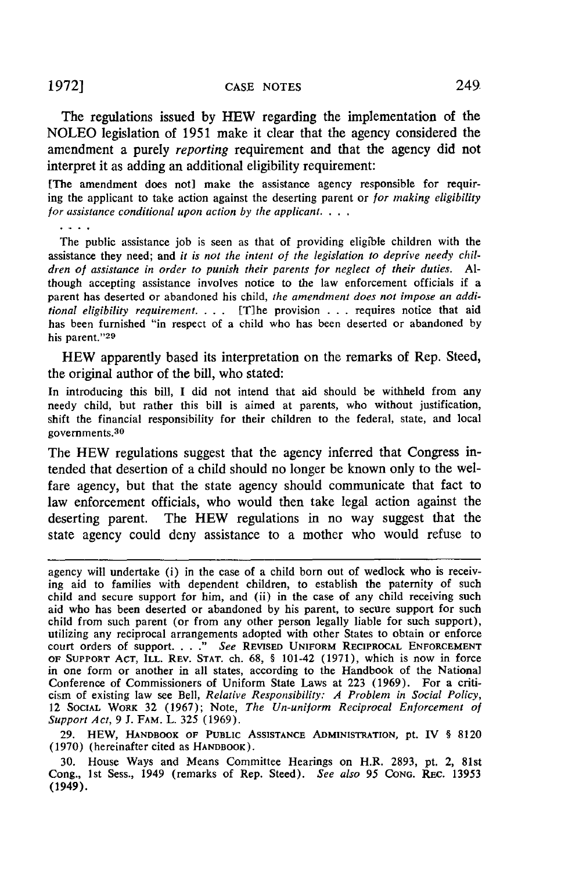The regulations issued **by** HEW regarding the implementation of the **NOLEO** legislation of **1951** make it clear that the agency considered the amendment a purely *reporting* requirement and that the agency did not interpret it as adding an additional eligibility requirement:

[The amendment does not] make the assistance agency responsible for requiring the applicant to take action against the deserting parent or *for making eligibility* for *assistance conditional upon action* by the *applicant* **...**

The public assistance job is seen as that of providing eligible children with the assistance they need; and *it is not the intent of the legislation to deprive needy children of assistance in order to punish their parents for neglect of their duties. Al*though accepting assistance involves notice to the law enforcement officials if a parent has deserted or abandoned his child, *the amendment does not impose an additional eligibility requirement.* . **.** . [Tihe provision . **.** . requires notice that aid has been furnished "in respect of a child who has been deserted or abandoned by his parent."29

HEW apparently based its interpretation on the remarks **of** Rep. Steed, the original author of the bill, who stated:

In introducing this bill, I did not intend that aid should be withheld from any needy child, but rather this bill is aimed at parents, who without justification, shift the financial responsibility for their children to the federal, state, and local governments. $30$ 

The HEW regulations suggest that the agency inferred that Congress intended that desertion of a child should no longer be known only to the welfare agency, but that the state agency should communicate that fact to law enforcement officials, who would then take legal action against the deserting parent. The HEW regulations in no way suggest that the state agency could deny assistance to a mother who would refuse to

agency will undertake (i) in the case of a child born out of wedlock who is receiving aid to families with dependent children, to establish the paternity of such child and secure support **for** him, and (ii) in the case of any child receiving such aid who has been deserted or abandoned by his parent, to secure support for such child from such parent (or from any other person legally liable for such support), utilizing any reciprocal arrangements adopted with other States to obtain or enforce court orders of support **......** *See* **REVISED UNIFORM** RECIPROCAL **ENFORCEMENT OF SUPPORT ACT,** ILL. REV. **STAT.** ch. 68, § 101-42 (1971), which is now in force in one form or another in all states, according to the Handbook of the National Conference of Commissioners of Uniform State Laws at **223** (1969). For a criticism of existing law see Bell, *Relative Responsibility: A Problem in Social Policy,* 12 **SOCIAL** WORK 32 (1967); Note, *The Un-uniform Reciprocal Enforcement of Support Act,* 9 J. FAM. L. 325 (1969).

**29.** HEW, HANDBOOK **OF** PUBLIC ASSISTANCE **ADMINISTRATION, pt.** IV § 8120 (1970) (hereinafter cited as HArDBOOK).

30. House Ways and Means Committee Hearings on H.R. 2893, pt. 2, 81st Cong., **1st** Sess., 1949 (remarks of Rep. Steed). *See also 95* **CONG.** REC. 13953 (1949).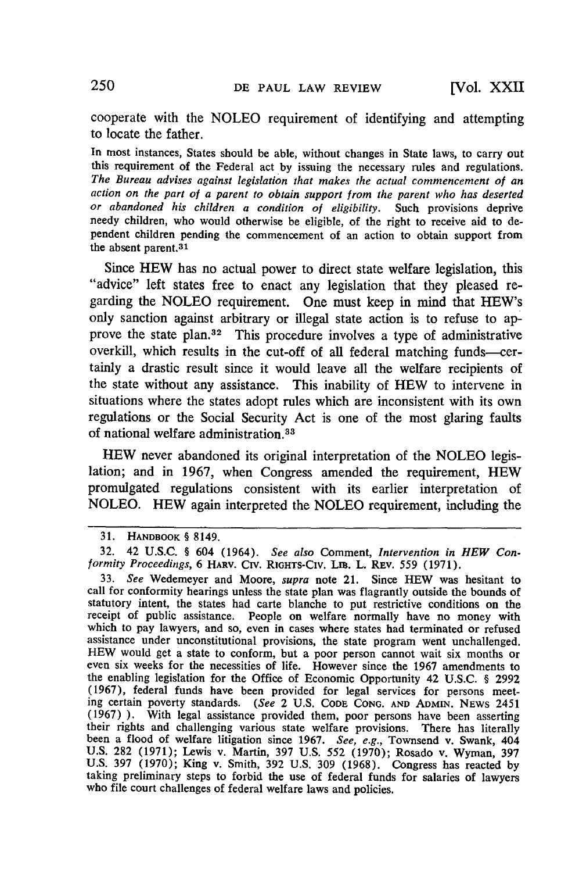cooperate with the NOLEO requirement of identifying and attempting to locate the father.

In most instances, States should be able, without changes in State laws, to carry out this requirement of the Federal act by issuing the necessary rules and regulations.<br>The Bureau advises against legislation that makes the actual commencement of an<br>action on the part of a parent to obtain support from the pendent children pending the commencement of an action to obtain support from the absent parent. 31

Since HEW has no actual power to direct state welfare legislation, this "advice" left states free to enact any legislation that they pleased regarding the NOLEO requirement. One must keep in mind that HEW's only sanction against arbitrary or illegal state action is to refuse to approve the state plan.<sup>32</sup> This procedure involves a type of administrative overkill, which results in the cut-off of all federal matching funds-certainly a drastic result since it would leave all the welfare recipients of the state without any assistance. This inability of HEW to intervene in situations where the states adopt rules which are inconsistent with its own regulations or the Social Security Act is one of the most glaring faults of national welfare administration. <sup>33</sup>

HEW never abandoned its original interpretation of the NOLEO legislation; and in 1967, when Congress amended the requirement, HEW promulgated regulations consistent with its earlier interpretation of NOLEO. HEW again interpreted the NOLEO requirement, including the

<sup>31.</sup> HANDBOOK § 8149.

<sup>32. 42</sup> U.S.C. § 604 (1964). *See also* Comment, *Intervention in HEW Conformity Proceedings,* 6 HARV. Civ. RIGHTS-CIv. Lm. L. REv. 559 (1971).

<sup>33.</sup> *See* Wedemeyer and Moore, *supra* note 21. Since HEW was hesitant to call for conformity hearings unless the state plan was flagrantly outside the bounds of statutory intent, the states had carte blanche to put restrictive conditions on the receipt of public assistance. People on welfare normally have no money with which to pay lawyers, and so, even in cases where states had terminated or refused assistance under unconstitutional provisions, the state program went unchallenged.<br>HEW would get a state to conform, but a poor person cannot wait six months or<br>even six weeks for the necessities of life. However since the the enabling legislation for the Office of Economic Opportunity 42 U.S.C. § 2992 (1967), federal funds have been provided for legal services for persons meeting certain poverty standards. *(See* 2 U.S. **CODE CONG. AND ADMIN. NEws** 2451 (1967)). With legal assistance provided them, poor persons have been asserting<br>their rights and challenging various state welfare provisions. There has literally<br>been a flood of welfare litigation since 1967. See, e.g., T U.S. 282 (1971); Lewis v. Martin, 397 U.S. 552 (1970); Rosado v. Wyman, 397 U.S. 397 (1970); King v. Smith, 392 U.S. 309 (1968). Congress has reacted by taking preliminary steps to forbid the use of federal funds for salaries of lawyers who file court challenges of federal welfare laws and policie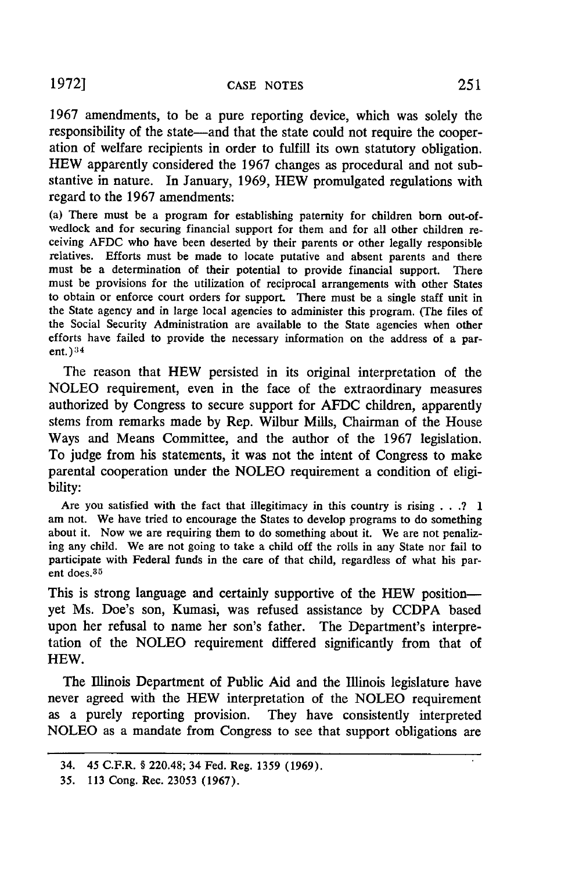**1967** amendments, to be a pure reporting device, which was solely the responsibility of the state-and that the state could not require the cooperation of welfare recipients in order to fulfill its own statutory obligation. HEW apparently considered the **1967** changes as procedural and not substantive in nature. In January, **1969,** HEW promulgated regulations with regard to the **1967** amendments:

(a) There must be a program for establishing paternity for children born out-ofwedlock and for securing financial support for them and for all other children receiving AFDC who have been deserted **by** their parents or other legally responsible relatives. Efforts must be made to locate putative and absent parents and there must be a determination of their potential to provide financial support. There must be provisions for the utilization of reciprocal arrangements with other States to obtain or enforce court orders for support. There must be a single staff unit in the State agency and in large local agencies to administer this program. (The files of the Social Security Administration are available to the State agencies when other efforts have failed to provide the necessary information on the address of a parent.)<sup>34</sup>

The reason that HEW persisted in its original interpretation of the NOLEO requirement, even in the face of the extraordinary measures authorized **by** Congress to secure support for AFDC children, apparently stems from remarks made **by** Rep. Wilbur Mills, Chairman of the House Ways and Means Committee, and the author of the 1967 legislation. To judge from his statements, it was not the intent of Congress to make parental cooperation under the NOLEO requirement a condition of eligibility:

Are you satisfied with the fact that illegitimacy in this country is rising **. . .? 1** am not. We have tried to encourage the States to develop programs to do something about it. Now we are requiring them to do something about it. We are not penalizing any child. We are not going to take a child off the rolls in any State nor fail to participate with Federal funds in the care of that child, regardless of what his parent does.<sup>35</sup>

This is strong language and certainly supportive of the HEW positionyet Ms. Doe's son, Kumasi, was refused assistance **by** CCDPA based upon her refusal to name her son's father. The Department's interpretation of the NOLEO requirement differed significantly from that of HEW.

The Illinois Department of Public Aid and the Illinois legislature have never agreed with the HEW interpretation of the NOLEO requirement as a purely reporting provision. They have consistently interpreted NOLEO as a mandate from Congress to see that support obligations are

<sup>34. 45</sup> **C.F.R. § 220.48; 34** Fed. Reg. 1359 (1969).

<sup>35.</sup> **113** Cong. Rec. 23053 **(1967).**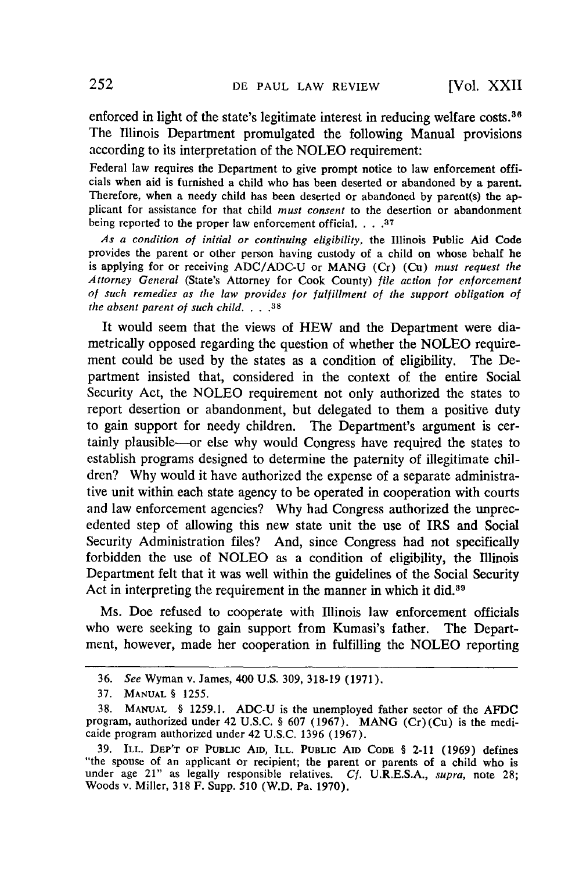enforced in light of the state's legitimate interest in reducing welfare costs.<sup>36</sup> The Illinois Department promulgated the following Manual provisions according to its interpretation of the NOLEO requirement:

Federal law requires the Department to give prompt notice to law enforcement officials when aid is furnished a child who has been deserted or abandoned by a parent. Therefore, when a needy child has been deserted or abandoned by parent(s) the applicant for assistance for that child *must consent* to the desertion or abandonment being reported to the proper law enforcement official. . **.. 37**

*As a condition of initial or continuing eligibility,* the Illinois Public Aid Code provides the parent or other person having custody of a child on whose behalf he is applying for or receiving ADC/ADC-U or MANG (Cr) (Cu) *must request the Attorney General* (State's Attorney for Cook County) *file action for enforcement of such remedies as the law provides for fulfillment of the support obligation of the absent parent of such child . <sup>38</sup>***8...** 

It would seem that the views of HEW and the Department were diametrically opposed regarding the question of whether the NOLEO requirement could be used by the states as a condition of eligibility. The Department insisted that, considered in the context of the entire Social Security Act, the NOLEO requirement not only authorized the states to report desertion or abandonment, but delegated to them a positive duty to gain support for needy children. The Department's argument is certainly plausible--or else why would Congress have required the states to establish programs designed to determine the paternity of illegitimate children? Why would it have authorized the expense of a separate administrative unit within each state agency to be operated in cooperation with courts and law enforcement agencies? Why had Congress authorized the unprecedented step of allowing this new state unit the use of IRS and Social Security Administration files? And, since Congress had not specifically forbidden the use of NOLEO as a condition of eligibility, the Illinois Department felt that it was well within the guidelines of the Social Security Act in interpreting the requirement in the manner in which it did.<sup>39</sup>

Ms. Doe refused to cooperate with Illinois law enforcement officials who were seeking to gain support from Kumasi's father. The Department, however, made her cooperation in fulfilling the NOLEO reporting

<sup>36.</sup> *See* Wyman v. James, 400 U.S. 309, 318-19 (1971).

<sup>37.</sup> **MANUAL** § 1255.

**<sup>38.</sup>** MANUAL § **1259.1.** ADC-U is the unemployed father sector of the **AFDC** program, authorized under 42 U.S.C. § **607** (1967). **MANG** (Cr)(Cu) is the medicaide program authorized under 42 **U.S.C.** 1396 (1967).

<sup>39.</sup> ILL. DEP'T OF PUBLIC AID, ILL. PUBLIC AID CODE § 2-11 (1969) defines "the spouse of an applicant or recipient; the parent or parents of a child who is under age 21" as legally responsible relatives. *Cf.* **U.R.E.S.A.,** *supra,* note **28;** Woods v. Miller, **318** F. Supp. **510** (W.D. Pa. **1970).**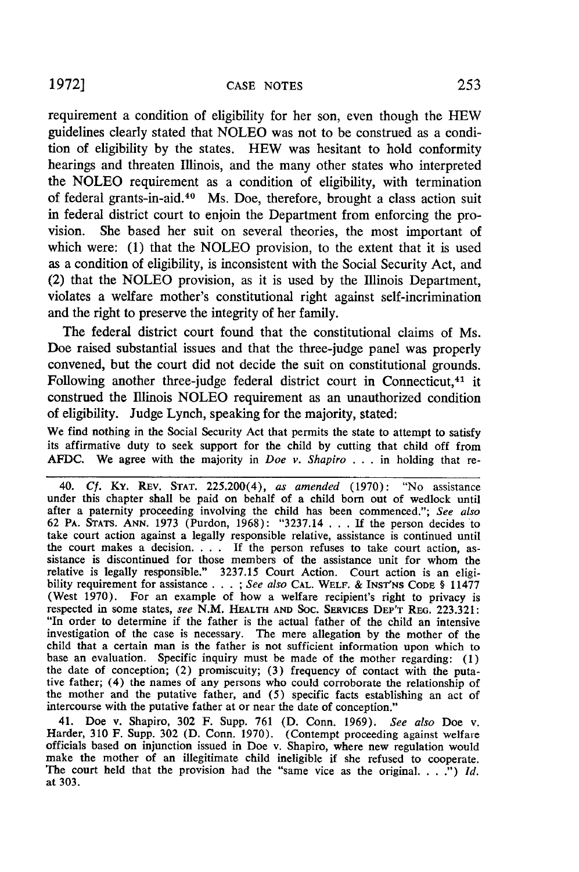requirement a condition of eligibility for her son, even though the HEW guidelines clearly stated that NOLEO was not to be construed as a condition of eligibility by the states. HEW was hesitant to hold conformity hearings and threaten Illinois, and the many other states who interpreted the NOLEO requirement as a condition of eligibility, with termination of federal grants-in-aid. 40 Ms. Doe, therefore, brought a class action suit in federal district court to enjoin the Department from enforcing the provision. She based her suit on several theories, the most important of which were: (1) that the NOLEO provision, to the extent that it is used as a condition of eligibility, is inconsistent with the Social Security Act, and (2) that the NOLEO provision, as it is used by the Illinois Department, violates a welfare mother's constitutional right against self-incrimination and the right to preserve the integrity of her family.

The federal district court found that the constitutional claims of Ms. Doe raised substantial issues and that the three-judge panel was properly convened, but the court did not decide the suit on constitutional grounds. Following another three-judge federal district court in Connecticut, 41 it construed the Illinois NOLEO requirement as an unauthorized condition of eligibility. Judge Lynch, speaking for the majority, stated:

We find nothing in the Social Security Act that permits the state to attempt to satisfy its affirmative duty to seek support for the child by cutting that child off from AFDC. We agree with the majority in *Doe v. Shapiro* . . . in holding that re-

40. *Cf.* KY. REv. **STAT.** 225.200(4), *as amended* (1970): "No assistance under this chapter shall be paid on behalf of a child born out of wedlock until after a paternity proceeding involving the child has been commenced."; *See also* 62 PA. STATS. **ANN.** 1973 (Purdon, 1968): "3237.14 . . . If the person decides to take court action against a legally responsible relative, assistance is continued until the court makes a decision. . **.** . If the person refuses to take court action, assistance is discontinued for those members of the assistance unit for whom the relative is legally responsible." 3237.15 Court Action. Court action is an eligibility requirement for assistance **. .** . ; *See also* **CAL.** WELF. & **INST'NS CODE** § 11477 (West 1970). For an example of how a welfare recipient's right to privacy is respected in some states, *see* N.M. HEALTH **AND** SOC. SERVicEs DEP'T REG. 223.321: "In order to determine if the father is the actual father of the child an intensive investigation of the case is necessary. The mere allegation by the mother of the child that a certain man is the father is not sufficient information upon which to base an evaluation. Specific inquiry must be made of the mother regarding: (1) the date of conception; (2) promiscuity; (3) frequency of contact with the putative father; (4) the names of any persons who could corroborate the relationship of the mother and the putative father, and (5) specific facts establishing an act of intercourse with the putative father at or near the date of conception."

41. Doe v. Shapiro, 302 F. Supp. 761 (D. Conn. 1969). *See also* Doe v. Harder, 310 F. Supp. 302 (D. Conn. 1970). (Contempt proceeding against welfare officials based on injunction issued in Doe v. Shapiro, where new regulation would make the mother of an illegitimate child ineligible if she refused to cooperate. The court held that the provision had the "same vice as the original. *... ) Id.* at 303.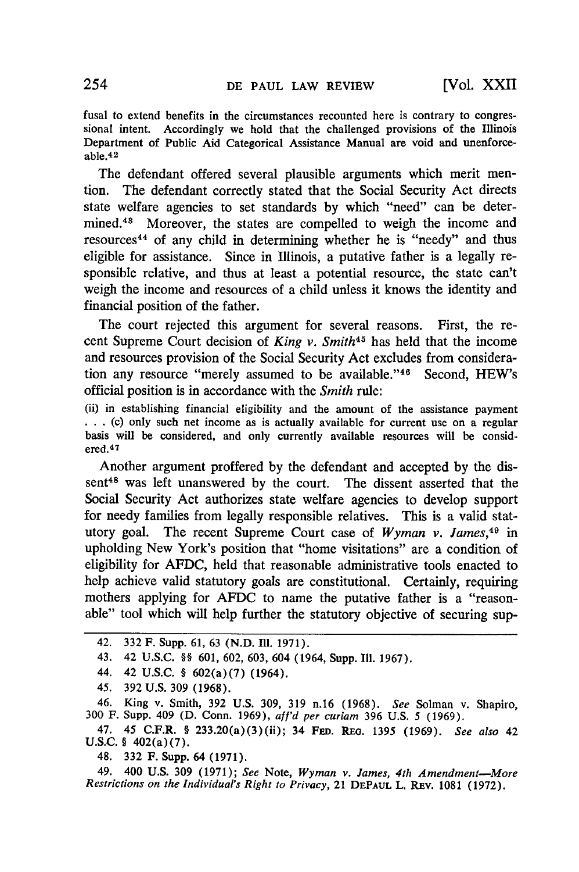fusal to extend benefits in the circumstances recounted here is contrary to congressional intent. Accordingly we hold that the challenged provisions of the Illinois Department of Public Aid Categorical Assistance Manual are void and unenforceable.<sup>42</sup>

The defendant offered several plausible arguments which merit mention. The defendant correctly stated that the Social Security Act directs state welfare agencies to set standards by which "need" can be determined.43 Moreover, the states are compelled to weigh the income and resources44 of any child in determining whether he is "needy" and thus eligible for assistance. Since in Illinois, a putative father is a legally responsible relative, and thus at least a potential resource, the state can't weigh the income and resources of a child unless it knows the identity and financial position of the father.

The court rejected this argument for several reasons. First, the recent Supreme Court decision of *King v. Smith<sup>45</sup>*has held that the income and resources provision of the Social Security Act excludes from consideration any resource "merely assumed to be available."'46 Second, HEW's official position is in accordance with the *Smith* rule:

(ii) in establishing financial eligibility and the amount of the assistance payment ... (c) only such net income as is actually available for current use on a regular basis will be considered, and only currently available resources will be considered. <sup>47</sup>

Another argument proffered by the defendant and accepted by the dissent<sup>48</sup> was left unanswered by the court. The dissent asserted that the Social Security Act authorizes state welfare agencies to develop support for needy families from legally responsible relatives. This is a valid statutory goal. The recent Supreme Court case of *Wyman v. James,49* in upholding New York's position that "home visitations" are a condition of eligibility for AFDC, held that reasonable administrative tools enacted to help achieve valid statutory goals are constitutional. Certainly, requiring mothers applying for AFDC to name the putative father is a "reasonable" tool which will help further the statutory objective of securing sup-

- 44. 42 **U.S.C.** § 602(a)(7) (1964).
- 45. 392 U.S. 309 (1968).

46. King v. Smith, 392 U.S. 309, 319 n.16 (1968). *See* Solman v. Shapiro, 300 F. Supp. 409 (D. Conn. 1969), *aff'd per curiam* 396 U.S. 5 **(1969).**

47. 45 **C.F.R.** § 233.20(a)(3)(ii); 34 **FED. REO. 1395 (1969).** *See also* 42 U.S.C. § 402(a)(7).

48. 332 F. Supp. 64 (1971).

49. 400 U.S. 309 (1971); *See* Note, *Wyman v. James, 4th Amendment-More Restrictions on the Individual's Right to Privacy,* 21 **DEPAUL** L. REv. 1081 (1972).

<sup>42. 332</sup> F. Supp. 61, 63 (N.D. Ill. 1971).

<sup>43. 42</sup> U.S.C. §§ 601, 602, 603, 604 (1964, Supp. **I11. 1967).**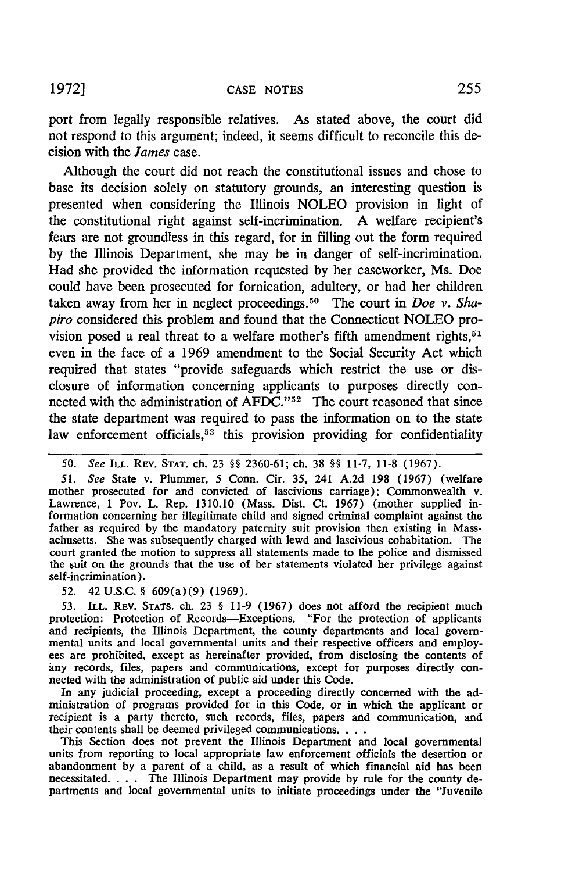port from legally responsible relatives. As stated above, the court did not respond to this argument; indeed, it seems difficult to reconcile this decision with the *James* case.

Although the court did not reach the constitutional issues and chose to base its decision solely on statutory grounds, an interesting question is presented when considering the Illinois NOLEO provision in light of the constitutional right against self-incrimination. A welfare recipient's fears are not groundless in this regard, for in filling out the form required by the Illinois Department, she may be in danger of self-incrimination. Had she provided the information requested by her caseworker, Ms. Doe could have been prosecuted for fornication, adultery, or had her children taken away from her in neglect proceedings. 50 The court in *Doe v.* Sha*piro* considered this problem and found that the Connecticut NOLEO provision posed a real threat to a welfare mother's fifth amendment rights,  $51$ even in the face of a 1969 amendment to the Social Security Act which required that states "provide safeguards which restrict the use or disclosure of information concerning applicants to purposes directly connected with the administration of AFDC."<sup>52</sup> The court reasoned that since the state department was required to pass the information on to the state law enforcement officials,<sup>53</sup> this provision providing for confidentiality

*51. See* State v. Plummer, 5 Conn. Cir. 35, 241 A.2d 198 (1967) (welfare mother prosecuted for and convicted of lascivious carriage); Commonwealth v. Lawrence, 1 Pov. L. Rep. 1310.10 (Mass. Dist. Ct. 1967) (mother supplied information concerning her illegitimate child and signed criminal complaint against the father as required **by** the mandatory paternity suit provision then existing in Massachusetts. She was subsequently charged with lewd and lascivious cohabitation. The court granted the motion to suppress all statements made to the police and dismissed the suit on the grounds that the use of her statements violated her privilege against self-incrimination).

**52.** 42 **U.S.C.** § 609(a)(9) **(1969).**

**53. ILL.** REv. **STATS.** ch. **23** § **11-9 (1967)** does not afford the recipient much protection: Protection of Records-Exceptions. "For the protection of applicants and recipients, the Illinois Department, the county departments and local governmental units and local governmental units and their respective officers and employ ees are prohibited, except as hereinafter provided, from disclosing the contents of any records, files, papers and communications, except for purposes directly con nected with the administration of public aid under this Code.

In any judicial proceeding, except a proceeding directly concerned with the administration of programs provided for in this Code, or in which the applicant or recipient is a party thereto, such records, files, papers and communication, and their contents shall be deemed privileged communications. **...**

This Section does not prevent the Illinois Department and local governmental units from reporting to local appropriate law enforcement officials the desertion or abandonment by a parent of a child, as a result of which financial aid has been necessitated. . . . The Illinois Department may provide by rule for the county departments and local governmental units to initiate proceedings under the "Juvenile

<sup>50.</sup> *See* ILL. REV. **STAT.** ch. 23 §§ 2360-61; ch. 38 §§ 11-7, 11-8 (1967).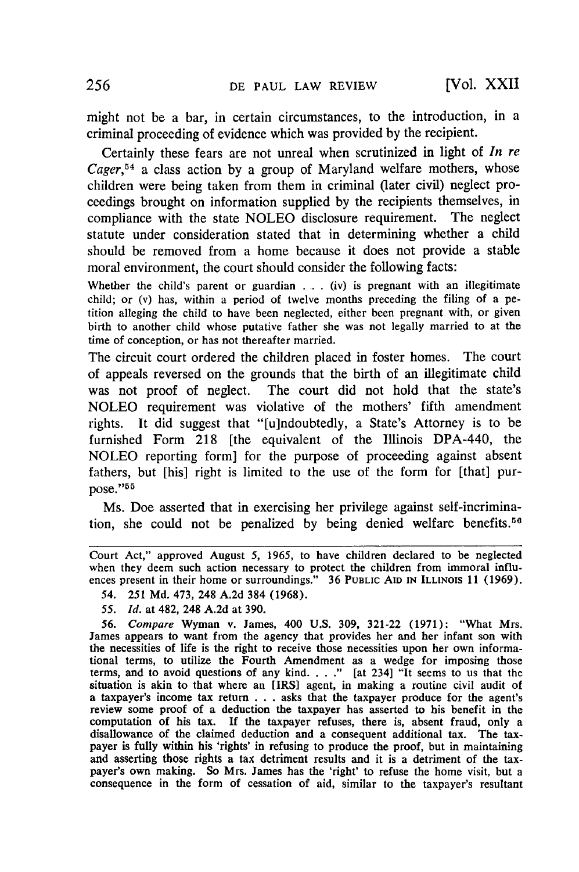might not be a bar, in certain circumstances, to the introduction, in a criminal proceeding of evidence which was provided by the recipient.

Certainly these fears are not unreal when scrutinized in light of *In re* Cager,<sup>54</sup> a class action by a group of Maryland welfare mothers, whose children were being taken from them in criminal (later civil) neglect proceedings brought on information supplied by the recipients themselves, in compliance with the state NOLEO disclosure requirement. The neglect statute under consideration stated that in determining whether a child should be removed from a home because it does not provide a stable moral environment, the court should consider the following facts:

Whether the child's parent or guardian . . . (iv) is pregnant with an illegitimate child; or (v) has, within a period of twelve months preceding the filing of a petition alleging the child to have been neglected, either been pregnant with, or given birth to another child whose putative father she was not legally married to at the time of conception, or has not thereafter married.

The circuit court ordered the children placed in foster homes. The court of appeals reversed on the grounds that the birth of an illegitimate child was not proof of neglect. The court did not hold that the state's NOLEO requirement was violative of the mothers' fifth amendment rights. It did suggest that "[u]ndoubtedly, a State's Attorney is to be furnished Form 218 [the equivalent of the Illinois DPA-440, the NOLEO reporting form] for the purpose of proceeding against absent fathers, but [his] right is limited to the use of the form for [that] purpose."<sup>55</sup>

Ms. Doe asserted that in exercising her privilege against self-incrimination, she could not be penalized by being denied welfare benefits.<sup>56</sup>

- 54. 251 **Md.** 473, 248 **A.2d** 384 (1968).
- *55. Id.* at 482, 248 **A.2d** at 390.

*56.* Compare Wyman v. James, 400 **U.S. 309,** 321-22 (1971): "What Mrs. James appears to want from the agency that provides her and her infant son with the necessities of life is the right to receive those necessities upon her own informational terms, to utilize the Fourth Amendment as a wedge for imposing those terms, and to avoid questions of any kind .... **."** [at 234] "It seems to us that the situation is akin to that where an [IRS] agent, in making a routine civil audit of a taxpayer's income tax return **. ..** asks that the taxpayer produce for the agent's review some proof of a deduction the taxpayer has asserted to his benefit in the computation of his tax. **If** the taxpayer refuses, there is, absent fraud, only a disallowance of the claimed deduction and a consequent additional tax. The taxpayer is fully within his 'rights' in refusing to produce the proof, but in maintaining and asserting those rights a tax detriment results and it is a detriment of the taxpayer's own making. So Mrs. James has the 'right' to refuse the home visit, but a consequence in the form of cessation of aid, similar to the taxpayer's resultant

Court Act," approved August 5, 1965, to have children declared to be neglected when they deem such action necessary to protect the children from immoral influences present in their home or surroundings." 36 PUBLIC **AID IN** ILLINOIS 11 (1969).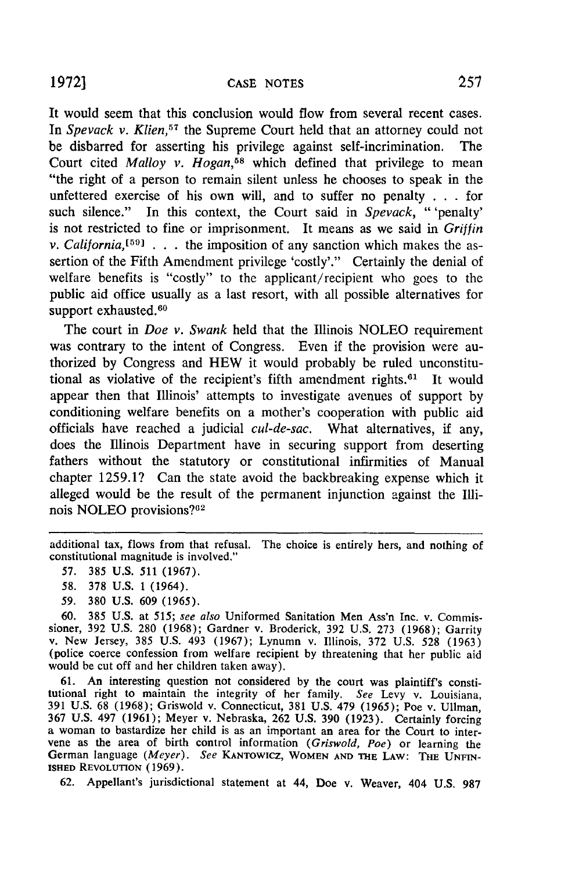It would seem that this conclusion would flow from several recent cases. In *Spevack v. Klien*<sup>57</sup> the Supreme Court held that an attorney could not be disbarred for asserting his privilege against self-incrimination. The Court cited *Malloy v. Hogan,58* which defined that privilege to mean "the right of a person to remain silent unless he chooses to speak in the unfettered exercise of his own will, and to suffer no penalty . . . for such silence." In this context, the Court said in *Spevack,* "'penalty' is not restricted to fine or imprisonment. It means as we said in *Griffin v. California*<sup> $[59]$ </sup> . . . the imposition of any sanction which makes the assertion of the Fifth Amendment privilege 'costly'." Certainly the denial of welfare benefits is "costly" to the applicant/recipient who goes to the public aid office usually as a last resort, with all possible alternatives for support exhausted.<sup>60</sup>

The court in *Doe v. Swank* held that the Illinois NOLEO requirement was contrary to the intent of Congress. Even if the provision were authorized by Congress and HEW it would probably be ruled unconstitutional as violative of the recipient's fifth amendment rights. $61$  It would appear then that Illinois' attempts to investigate avenues of support by conditioning welfare benefits on a mother's cooperation with public aid officials have reached a judicial *cul-de-sac.* What alternatives, if any, does the Illinois Department have in securing support from deserting fathers without the statutory or constitutional infirmities of Manual chapter 1259.1? Can the state avoid the backbreaking expense which it alleged would be the result of the permanent injunction against the Illinois NOLEO provisions?<sup>62</sup>

61. An interesting question not considered by the court was plaintiff's constitutional right to maintain the integrity of her family. *See* Levy v. Louisiana, **391** U.S. 68 (1968); Griswold v. Connecticut, **381** U.S. 479 (1965); Poe v. Ullman, 367 U.S. 497 (1961); Meyer v. Nebraska, 262 U.S. 390 (1923). Certainly forcing a woman to bastardize her child is as an important an area for the Court to intervene as the area of birth control information (*Griswold*, *P* German language *(Meyer).* See KANTOWICZ, WOMEN AND THE LAW: THE UNFIN-**ISHED** REVOLUTION (1969).

62. Appellant's jurisdictional statement at 44, Doe v. Weaver, 404 U.S. **987**

additional tax, flows from that refusal. The choice is entirely hers, and nothing of constitutional magnitude is involved."

<sup>57. 385</sup> U.S. 511 (1967).

<sup>58. 378</sup> U.S. 1 (1964).

**<sup>59.</sup> 380** U.S. **609** (1965).

**<sup>60. 385</sup>** U.S. at *515; see also* Uniformed Sanitation Men Ass'n Inc. **v.** Commissioner, **392** U.S. **280** (1968); Gardner v. Broderick, **392** U.S. 273 (1968); Garrity v. New Jersey, 385 U.S. 493 (1967); Lynumn v. Illinois, 372 U.S. 528 (1963) (police coerce confession from welfare recipient by threatening that her public aid would be cut off and her children taken away).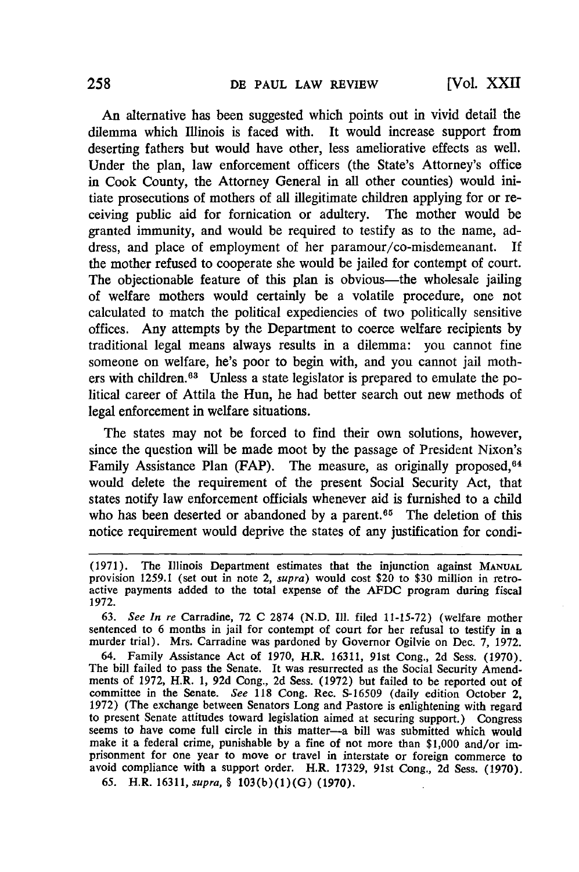An alternative has been suggested which points out in vivid detail the dilemma which Illinois is faced with. It would increase support from deserting fathers but would have other, less ameliorative effects as well. Under the plan, law enforcement officers (the State's Attorney's office in Cook County, the Attorney General in all other counties) would initiate prosecutions of mothers of all illegitimate children applying for or receiving public aid for fornication or adultery. The mother would be granted immunity, and would be required to testify as to the name, address, and place of employment of her paramour/co-misdemeanant. If the mother refused to cooperate she would be jailed for contempt of court. The objectionable feature of this plan is obvious—the wholesale jailing of welfare mothers would certainly be a volatile procedure, one not calculated to match the political expediencies of two politically sensitive offices. Any attempts by the Department to coerce welfare recipients by traditional legal means always results in a dilemma: you cannot fine someone on welfare, he's poor to begin with, and you cannot jail mothers with children.<sup>63</sup> Unless a state legislator is prepared to emulate the political career of Attila the Hun, he had better search out new methods of legal enforcement in welfare situations.

The states may not be forced to find their own solutions, however, since the question will be made moot by the passage of President Nixon's Family Assistance Plan (FAP). The measure, as originally proposed, 64 would delete the requirement of the present Social Security Act, that states notify law enforcement officials whenever aid is furnished to a child who has been deserted or abandoned by a parent.<sup>65</sup> The deletion of this notice requirement would deprive the states of any justification for condi-

**65.** H.R. 16311, *supra, §* **103(b)(1)(G) (1970).**

<sup>(1971).</sup> The Illinois Department estimates that the injunction against **MANUAL** provision **1259.1** (set out in note 2, *supra)* would cost \$20 to **\$30** million in retroactive payments added to the total expense of the **AFDC** program during fiscal **1972.**

**<sup>63.</sup>** *See In re* Carradine, **72 C 2874 (N.D. Ill.** filed **11-15-72)** (welfare mother sentenced to 6 months in jail for contempt of court for her refusal to testify in a murder trial). Mrs. Carradine was pardoned **by** Governor Ogilvie on Dec. **7, 1972.**

<sup>64.</sup> Family Assistance Act of **1970,** H.R. **16311,** 91st Cong., **2d** Sess. **(1970).** The bill failed to pass the Senate. It was resurrected as the Social Security Amendments of **1972,** H.R. **1, 92d** Cong., **2d** Sess. **(1972)** but failed to be reported out of committee in the Senate. *See* **118** Cong. Rec. **S-16509** (daily edition October 2, **1972)** (The exchange between Senators Long and Pastore is enlightening with regard to present Senate attitudes toward legislation aimed at securing support.) Congress seems to have come full circle in this matter-a bill was submitted which would make it a federal crime, punishable **by** a fine of not more than **\$1,000** and/or imprisonment for one year to move or travel in interstate or foreign commerce to avoid compliance with a support order. H.R. **17329,** 91st Cong., **2d** Sess. **(1970).**